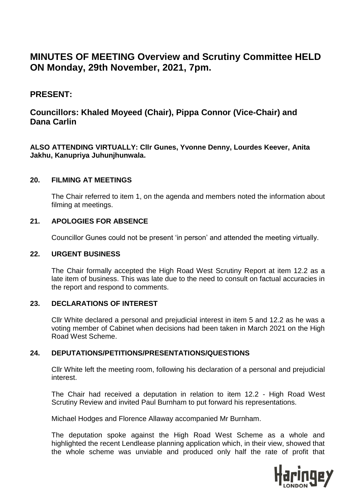# **MINUTES OF MEETING Overview and Scrutiny Committee HELD ON Monday, 29th November, 2021, 7pm.**

## **PRESENT:**

## **Councillors: Khaled Moyeed (Chair), Pippa Connor (Vice-Chair) and Dana Carlin**

**ALSO ATTENDING VIRTUALLY: Cllr Gunes, Yvonne Denny, Lourdes Keever, Anita Jakhu, Kanupriya Juhunjhunwala.**

## **20. FILMING AT MEETINGS**

The Chair referred to item 1, on the agenda and members noted the information about filming at meetings.

## **21. APOLOGIES FOR ABSENCE**

Councillor Gunes could not be present 'in person' and attended the meeting virtually.

#### **22. URGENT BUSINESS**

The Chair formally accepted the High Road West Scrutiny Report at item 12.2 as a late item of business. This was late due to the need to consult on factual accuracies in the report and respond to comments.

### **23. DECLARATIONS OF INTEREST**

Cllr White declared a personal and prejudicial interest in item 5 and 12.2 as he was a voting member of Cabinet when decisions had been taken in March 2021 on the High Road West Scheme.

## **24. DEPUTATIONS/PETITIONS/PRESENTATIONS/QUESTIONS**

Cllr White left the meeting room, following his declaration of a personal and prejudicial interest.

The Chair had received a deputation in relation to item 12.2 - High Road West Scrutiny Review and invited Paul Burnham to put forward his representations.

Michael Hodges and Florence Allaway accompanied Mr Burnham.

The deputation spoke against the High Road West Scheme as a whole and highlighted the recent Lendlease planning application which, in their view, showed that the whole scheme was unviable and produced only half the rate of profit that

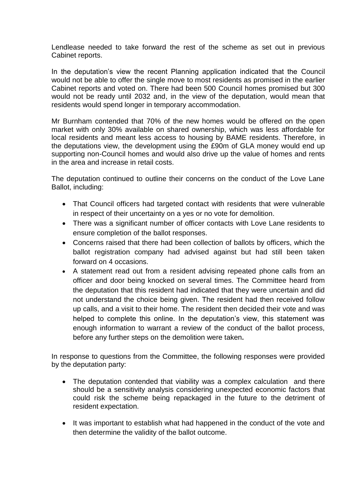Lendlease needed to take forward the rest of the scheme as set out in previous Cabinet reports.

In the deputation's view the recent Planning application indicated that the Council would not be able to offer the single move to most residents as promised in the earlier Cabinet reports and voted on. There had been 500 Council homes promised but 300 would not be ready until 2032 and, in the view of the deputation, would mean that residents would spend longer in temporary accommodation.

Mr Burnham contended that 70% of the new homes would be offered on the open market with only 30% available on shared ownership, which was less affordable for local residents and meant less access to housing by BAME residents. Therefore, in the deputations view, the development using the £90m of GLA money would end up supporting non-Council homes and would also drive up the value of homes and rents in the area and increase in retail costs.

The deputation continued to outline their concerns on the conduct of the Love Lane Ballot, including:

- That Council officers had targeted contact with residents that were vulnerable in respect of their uncertainty on a yes or no vote for demolition.
- There was a significant number of officer contacts with Love Lane residents to ensure completion of the ballot responses.
- Concerns raised that there had been collection of ballots by officers, which the ballot registration company had advised against but had still been taken forward on 4 occasions.
- A statement read out from a resident advising repeated phone calls from an officer and door being knocked on several times. The Committee heard from the deputation that this resident had indicated that they were uncertain and did not understand the choice being given. The resident had then received follow up calls, and a visit to their home. The resident then decided their vote and was helped to complete this online. In the deputation's view, this statement was enough information to warrant a review of the conduct of the ballot process, before any further steps on the demolition were taken**.**

In response to questions from the Committee, the following responses were provided by the deputation party:

- The deputation contended that viability was a complex calculation and there should be a sensitivity analysis considering unexpected economic factors that could risk the scheme being repackaged in the future to the detriment of resident expectation.
- It was important to establish what had happened in the conduct of the vote and then determine the validity of the ballot outcome.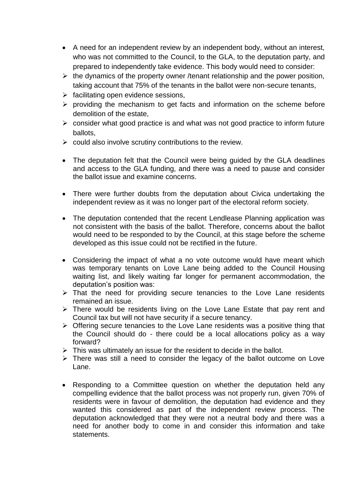- A need for an independent review by an independent body, without an interest, who was not committed to the Council, to the GLA, to the deputation party, and prepared to independently take evidence. This body would need to consider:
- $\triangleright$  the dynamics of the property owner /tenant relationship and the power position, taking account that 75% of the tenants in the ballot were non-secure tenants,
- $\triangleright$  facilitating open evidence sessions,
- $\triangleright$  providing the mechanism to get facts and information on the scheme before demolition of the estate,
- $\triangleright$  consider what good practice is and what was not good practice to inform future ballots,
- $\triangleright$  could also involve scrutiny contributions to the review.
- The deputation felt that the Council were being quided by the GLA deadlines and access to the GLA funding, and there was a need to pause and consider the ballot issue and examine concerns.
- There were further doubts from the deputation about Civica undertaking the independent review as it was no longer part of the electoral reform society.
- The deputation contended that the recent Lendlease Planning application was not consistent with the basis of the ballot. Therefore, concerns about the ballot would need to be responded to by the Council, at this stage before the scheme developed as this issue could not be rectified in the future.
- Considering the impact of what a no vote outcome would have meant which was temporary tenants on Love Lane being added to the Council Housing waiting list, and likely waiting far longer for permanent accommodation, the deputation's position was:
- $\triangleright$  That the need for providing secure tenancies to the Love Lane residents remained an issue.
- $\triangleright$  There would be residents living on the Love Lane Estate that pay rent and Council tax but will not have security if a secure tenancy.
- $\triangleright$  Offering secure tenancies to the Love Lane residents was a positive thing that the Council should do - there could be a local allocations policy as a way forward?
- $\triangleright$  This was ultimately an issue for the resident to decide in the ballot.
- $\triangleright$  There was still a need to consider the legacy of the ballot outcome on Love Lane.
- Responding to a Committee question on whether the deputation held any compelling evidence that the ballot process was not properly run, given 70% of residents were in favour of demolition, the deputation had evidence and they wanted this considered as part of the independent review process. The deputation acknowledged that they were not a neutral body and there was a need for another body to come in and consider this information and take statements.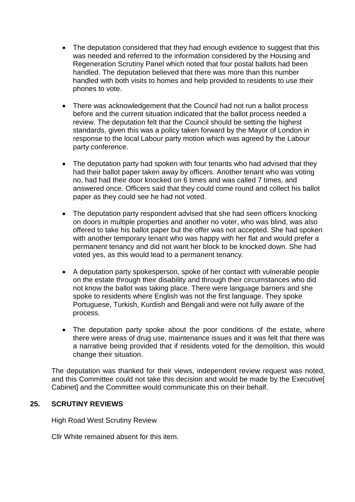- The deputation considered that they had enough evidence to suggest that this was needed and referred to the information considered by the Housing and Regeneration Scrutiny Panel which noted that four postal ballots had been handled. The deputation believed that there was more than this number handled with both visits to homes and help provided to residents to use their phones to vote.
- There was acknowledgement that the Council had not run a ballot process before and the current situation indicated that the ballot process needed a review. The deputation felt that the Council should be setting the highest standards, given this was a policy taken forward by the Mayor of London in response to the local Labour party motion which was agreed by the Labour party conference.
- The deputation party had spoken with four tenants who had advised that they had their ballot paper taken away by officers. Another tenant who was voting no, had had their door knocked on 6 times and was called 7 times, and answered once. Officers said that they could come round and collect his ballot paper as they could see he had not voted.
- The deputation party respondent advised that she had seen officers knocking on doors in multiple properties and another no voter, who was blind, was also offered to take his ballot paper but the offer was not accepted. She had spoken with another temporary tenant who was happy with her flat and would prefer a permanent tenancy and did not want her block to be knocked down. She had voted yes, as this would lead to a permanent tenancy.
- A deputation party spokesperson, spoke of her contact with vulnerable people on the estate through their disability and through their circumstances who did not know the ballot was taking place. There were language barriers and she spoke to residents where English was not the first language. They spoke Portuguese, Turkish, Kurdish and Bengali and were not fully aware of the process.
- The deputation party spoke about the poor conditions of the estate, where there were areas of drug use, maintenance issues and it was felt that there was a narrative being provided that if residents voted for the demolition, this would change their situation.

The deputation was thanked for their views, independent review request was noted, and this Committee could not take this decision and would be made by the Executive[ Cabinet] and the Committee would communicate this on their behalf.

## **25. SCRUTINY REVIEWS**

High Road West Scrutiny Review

Cllr White remained absent for this item.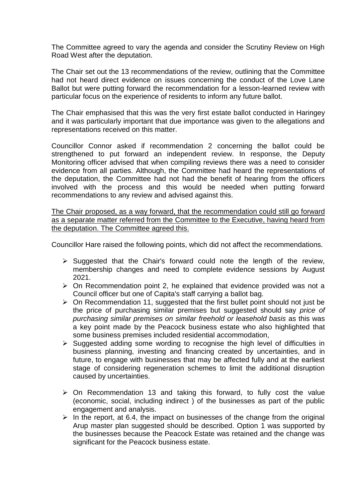The Committee agreed to vary the agenda and consider the Scrutiny Review on High Road West after the deputation.

The Chair set out the 13 recommendations of the review, outlining that the Committee had not heard direct evidence on issues concerning the conduct of the Love Lane Ballot but were putting forward the recommendation for a lesson-learned review with particular focus on the experience of residents to inform any future ballot.

The Chair emphasised that this was the very first estate ballot conducted in Haringey and it was particularly important that due importance was given to the allegations and representations received on this matter.

Councillor Connor asked if recommendation 2 concerning the ballot could be strengthened to put forward an independent review. In response, the Deputy Monitoring officer advised that when compiling reviews there was a need to consider evidence from all parties. Although, the Committee had heard the representations of the deputation, the Committee had not had the benefit of hearing from the officers involved with the process and this would be needed when putting forward recommendations to any review and advised against this.

The Chair proposed, as a way forward, that the recommendation could still go forward as a separate matter referred from the Committee to the Executive, having heard from the deputation. The Committee agreed this.

Councillor Hare raised the following points, which did not affect the recommendations.

- $\triangleright$  Suggested that the Chair's forward could note the length of the review, membership changes and need to complete evidence sessions by August 2021.
- $\triangleright$  On Recommendation point 2, he explained that evidence provided was not a Council officer but one of Capita's staff carrying a ballot bag.
- $\triangleright$  On Recommendation 11, suggested that the first bullet point should not just be the price of purchasing similar premises but suggested should say *price of purchasing similar premises on similar freehold or leasehold basis* as this was a key point made by the Peacock business estate who also highlighted that some business premises included residential accommodation,
- $\triangleright$  Suggested adding some wording to recognise the high level of difficulties in business planning, investing and financing created by uncertainties, and in future, to engage with businesses that may be affected fully and at the earliest stage of considering regeneration schemes to limit the additional disruption caused by uncertainties.
- $\triangleright$  On Recommendation 13 and taking this forward, to fully cost the value (economic, social, including indirect ) of the businesses as part of the public engagement and analysis.
- $\triangleright$  In the report, at 6.4, the impact on businesses of the change from the original Arup master plan suggested should be described. Option 1 was supported by the businesses because the Peacock Estate was retained and the change was significant for the Peacock business estate.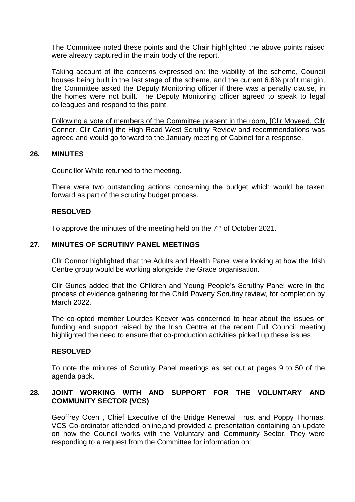The Committee noted these points and the Chair highlighted the above points raised were already captured in the main body of the report.

Taking account of the concerns expressed on: the viability of the scheme, Council houses being built in the last stage of the scheme, and the current 6.6% profit margin, the Committee asked the Deputy Monitoring officer if there was a penalty clause, in the homes were not built. The Deputy Monitoring officer agreed to speak to legal colleagues and respond to this point.

Following a vote of members of the Committee present in the room, [Cllr Moyeed, Cllr Connor, Cllr Carlin] the High Road West Scrutiny Review and recommendations was agreed and would go forward to the January meeting of Cabinet for a response.

#### **26. MINUTES**

Councillor White returned to the meeting.

There were two outstanding actions concerning the budget which would be taken forward as part of the scrutiny budget process.

#### **RESOLVED**

To approve the minutes of the meeting held on the 7<sup>th</sup> of October 2021.

### **27. MINUTES OF SCRUTINY PANEL MEETINGS**

Cllr Connor highlighted that the Adults and Health Panel were looking at how the Irish Centre group would be working alongside the Grace organisation.

Cllr Gunes added that the Children and Young People's Scrutiny Panel were in the process of evidence gathering for the Child Poverty Scrutiny review, for completion by March 2022.

The co-opted member Lourdes Keever was concerned to hear about the issues on funding and support raised by the Irish Centre at the recent Full Council meeting highlighted the need to ensure that co-production activities picked up these issues.

## **RESOLVED**

To note the minutes of Scrutiny Panel meetings as set out at pages 9 to 50 of the agenda pack.

## **28. JOINT WORKING WITH AND SUPPORT FOR THE VOLUNTARY AND COMMUNITY SECTOR (VCS)**

Geoffrey Ocen , Chief Executive of the Bridge Renewal Trust and Poppy Thomas, VCS Co-ordinator attended online,and provided a presentation containing an update on how the Council works with the Voluntary and Community Sector. They were responding to a request from the Committee for information on: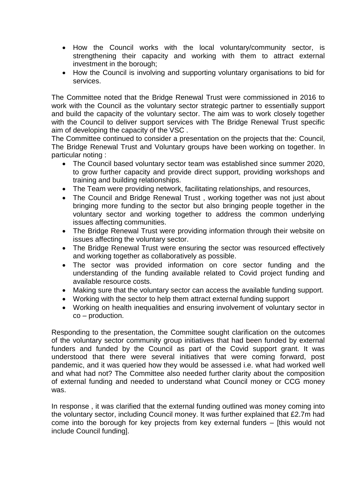- How the Council works with the local voluntary/community sector, is strengthening their capacity and working with them to attract external investment in the borough;
- How the Council is involving and supporting voluntary organisations to bid for services.

The Committee noted that the Bridge Renewal Trust were commissioned in 2016 to work with the Council as the voluntary sector strategic partner to essentially support and build the capacity of the voluntary sector. The aim was to work closely together with the Council to deliver support services with The Bridge Renewal Trust specific aim of developing the capacity of the VSC .

The Committee continued to consider a presentation on the projects that the: Council, The Bridge Renewal Trust and Voluntary groups have been working on together. In particular noting :

- The Council based voluntary sector team was established since summer 2020, to grow further capacity and provide direct support, providing workshops and training and building relationships.
- The Team were providing network, facilitating relationships, and resources,
- The Council and Bridge Renewal Trust, working together was not just about bringing more funding to the sector but also bringing people together in the voluntary sector and working together to address the common underlying issues affecting communities.
- The Bridge Renewal Trust were providing information through their website on issues affecting the voluntary sector.
- The Bridge Renewal Trust were ensuring the sector was resourced effectively and working together as collaboratively as possible.
- The sector was provided information on core sector funding and the understanding of the funding available related to Covid project funding and available resource costs.
- Making sure that the voluntary sector can access the available funding support.
- Working with the sector to help them attract external funding support
- Working on health inequalities and ensuring involvement of voluntary sector in co – production.

Responding to the presentation, the Committee sought clarification on the outcomes of the voluntary sector community group initiatives that had been funded by external funders and funded by the Council as part of the Covid support grant. It was understood that there were several initiatives that were coming forward, post pandemic, and it was queried how they would be assessed i.e. what had worked well and what had not? The Committee also needed further clarity about the composition of external funding and needed to understand what Council money or CCG money was.

In response, it was clarified that the external funding outlined was money coming into the voluntary sector, including Council money. It was further explained that £2.7m had come into the borough for key projects from key external funders – [this would not include Council funding].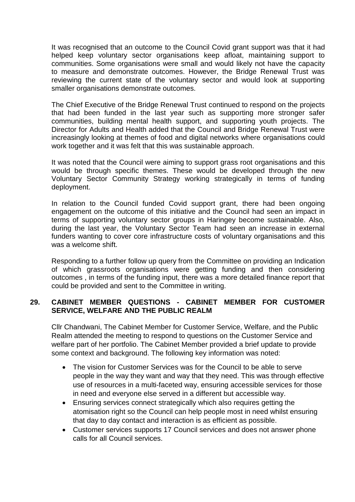It was recognised that an outcome to the Council Covid grant support was that it had helped keep voluntary sector organisations keep afloat, maintaining support to communities. Some organisations were small and would likely not have the capacity to measure and demonstrate outcomes. However, the Bridge Renewal Trust was reviewing the current state of the voluntary sector and would look at supporting smaller organisations demonstrate outcomes.

The Chief Executive of the Bridge Renewal Trust continued to respond on the projects that had been funded in the last year such as supporting more stronger safer communities, building mental health support, and supporting youth projects. The Director for Adults and Health added that the Council and Bridge Renewal Trust were increasingly looking at themes of food and digital networks where organisations could work together and it was felt that this was sustainable approach.

It was noted that the Council were aiming to support grass root organisations and this would be through specific themes. These would be developed through the new Voluntary Sector Community Strategy working strategically in terms of funding deployment.

In relation to the Council funded Covid support grant, there had been ongoing engagement on the outcome of this initiative and the Council had seen an impact in terms of supporting voluntary sector groups in Haringey become sustainable. Also, during the last year, the Voluntary Sector Team had seen an increase in external funders wanting to cover core infrastructure costs of voluntary organisations and this was a welcome shift.

Responding to a further follow up query from the Committee on providing an Indication of which grassroots organisations were getting funding and then considering outcomes , in terms of the funding input, there was a more detailed finance report that could be provided and sent to the Committee in writing.

## **29. CABINET MEMBER QUESTIONS - CABINET MEMBER FOR CUSTOMER SERVICE, WELFARE AND THE PUBLIC REALM**

Cllr Chandwani, The Cabinet Member for Customer Service, Welfare, and the Public Realm attended the meeting to respond to questions on the Customer Service and welfare part of her portfolio. The Cabinet Member provided a brief update to provide some context and background. The following key information was noted:

- The vision for Customer Services was for the Council to be able to serve people in the way they want and way that they need. This was through effective use of resources in a multi-faceted way, ensuring accessible services for those in need and everyone else served in a different but accessible way.
- Ensuring services connect strategically which also requires getting the atomisation right so the Council can help people most in need whilst ensuring that day to day contact and interaction is as efficient as possible.
- Customer services supports 17 Council services and does not answer phone calls for all Council services.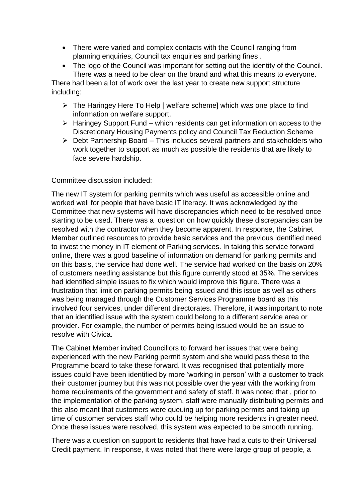• There were varied and complex contacts with the Council ranging from planning enquiries, Council tax enquiries and parking fines .

 The logo of the Council was important for setting out the identity of the Council. There was a need to be clear on the brand and what this means to everyone. There had been a lot of work over the last year to create new support structure including:

- $\triangleright$  The Haringey Here To Help [ welfare scheme] which was one place to find information on welfare support.
- $\triangleright$  Haringey Support Fund which residents can get information on access to the Discretionary Housing Payments policy and Council Tax Reduction Scheme
- $\triangleright$  Debt Partnership Board This includes several partners and stakeholders who work together to support as much as possible the residents that are likely to face severe hardship.

## Committee discussion included:

The new IT system for parking permits which was useful as accessible online and worked well for people that have basic IT literacy. It was acknowledged by the Committee that new systems will have discrepancies which need to be resolved once starting to be used. There was a question on how quickly these discrepancies can be resolved with the contractor when they become apparent. In response, the Cabinet Member outlined resources to provide basic services and the previous identified need to invest the money in IT element of Parking services. In taking this service forward online, there was a good baseline of information on demand for parking permits and on this basis, the service had done well. The service had worked on the basis on 20% of customers needing assistance but this figure currently stood at 35%. The services had identified simple issues to fix which would improve this figure. There was a frustration that limit on parking permits being issued and this issue as well as others was being managed through the Customer Services Programme board as this involved four services, under different directorates. Therefore, it was important to note that an identified issue with the system could belong to a different service area or provider. For example, the number of permits being issued would be an issue to resolve with Civica.

The Cabinet Member invited Councillors to forward her issues that were being experienced with the new Parking permit system and she would pass these to the Programme board to take these forward. It was recognised that potentially more issues could have been identified by more 'working in person' with a customer to track their customer journey but this was not possible over the year with the working from home requirements of the government and safety of staff. It was noted that , prior to the implementation of the parking system, staff were manually distributing permits and this also meant that customers were queuing up for parking permits and taking up time of customer services staff who could be helping more residents in greater need. Once these issues were resolved, this system was expected to be smooth running.

There was a question on support to residents that have had a cuts to their Universal Credit payment. In response, it was noted that there were large group of people, a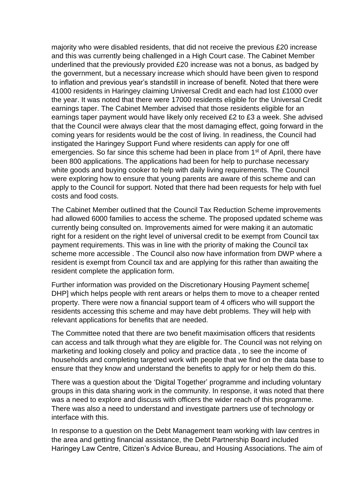majority who were disabled residents, that did not receive the previous £20 increase and this was currently being challenged in a High Court case. The Cabinet Member underlined that the previously provided £20 increase was not a bonus, as badged by the government, but a necessary increase which should have been given to respond to inflation and previous year's standstill in increase of benefit. Noted that there were 41000 residents in Haringey claiming Universal Credit and each had lost £1000 over the year. It was noted that there were 17000 residents eligible for the Universal Credit earnings taper. The Cabinet Member advised that those residents eligible for an earnings taper payment would have likely only received £2 to £3 a week. She advised that the Council were always clear that the most damaging effect, going forward in the coming years for residents would be the cost of living. In readiness, the Council had instigated the Haringey Support Fund where residents can apply for one off emergencies. So far since this scheme had been in place from 1<sup>st</sup> of April, there have been 800 applications. The applications had been for help to purchase necessary white goods and buying cooker to help with daily living requirements. The Council were exploring how to ensure that young parents are aware of this scheme and can apply to the Council for support. Noted that there had been requests for help with fuel costs and food costs.

The Cabinet Member outlined that the Council Tax Reduction Scheme improvements had allowed 6000 families to access the scheme. The proposed updated scheme was currently being consulted on. Improvements aimed for were making it an automatic right for a resident on the right level of universal credit to be exempt from Council tax payment requirements. This was in line with the priority of making the Council tax scheme more accessible . The Council also now have information from DWP where a resident is exempt from Council tax and are applying for this rather than awaiting the resident complete the application form.

Further information was provided on the Discretionary Housing Payment scheme[ DHP] which helps people with rent arears or helps them to move to a cheaper rented property. There were now a financial support team of 4 officers who will support the residents accessing this scheme and may have debt problems. They will help with relevant applications for benefits that are needed.

The Committee noted that there are two benefit maximisation officers that residents can access and talk through what they are eligible for. The Council was not relying on marketing and looking closely and policy and practice data , to see the income of households and completing targeted work with people that we find on the data base to ensure that they know and understand the benefits to apply for or help them do this.

There was a question about the 'Digital Together' programme and including voluntary groups in this data sharing work in the community. In response, it was noted that there was a need to explore and discuss with officers the wider reach of this programme. There was also a need to understand and investigate partners use of technology or interface with this.

In response to a question on the Debt Management team working with law centres in the area and getting financial assistance, the Debt Partnership Board included Haringey Law Centre, Citizen's Advice Bureau, and Housing Associations. The aim of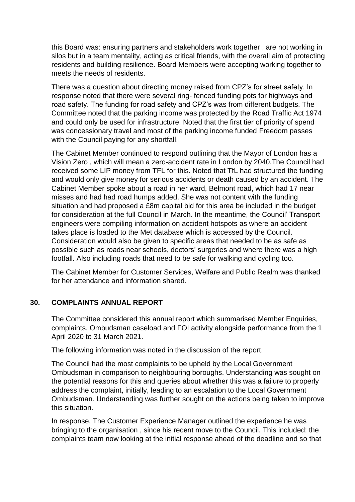this Board was: ensuring partners and stakeholders work together , are not working in silos but in a team mentality, acting as critical friends, with the overall aim of protecting residents and building resilience. Board Members were accepting working together to meets the needs of residents.

There was a question about directing money raised from CPZ's for street safety. In response noted that there were several ring- fenced funding pots for highways and road safety. The funding for road safety and CPZ's was from different budgets. The Committee noted that the parking income was protected by the Road Traffic Act 1974 and could only be used for infrastructure. Noted that the first tier of priority of spend was concessionary travel and most of the parking income funded Freedom passes with the Council paying for any shortfall.

The Cabinet Member continued to respond outlining that the Mayor of London has a Vision Zero , which will mean a zero-accident rate in London by 2040.The Council had received some LIP money from TFL for this. Noted that TfL had structured the funding and would only give money for serious accidents or death caused by an accident. The Cabinet Member spoke about a road in her ward, Belmont road, which had 17 near misses and had had road humps added. She was not content with the funding situation and had proposed a £8m capital bid for this area be included in the budget for consideration at the full Council in March. In the meantime, the Council' Transport engineers were compiling information on accident hotspots as where an accident takes place is loaded to the Met database which is accessed by the Council. Consideration would also be given to specific areas that needed to be as safe as possible such as roads near schools, doctors' surgeries and where there was a high footfall. Also including roads that need to be safe for walking and cycling too.

The Cabinet Member for Customer Services, Welfare and Public Realm was thanked for her attendance and information shared.

## **30. COMPLAINTS ANNUAL REPORT**

The Committee considered this annual report which summarised Member Enquiries, complaints, Ombudsman caseload and FOI activity alongside performance from the 1 April 2020 to 31 March 2021.

The following information was noted in the discussion of the report.

The Council had the most complaints to be upheld by the Local Government Ombudsman in comparison to neighbouring boroughs. Understanding was sought on the potential reasons for this and queries about whether this was a failure to properly address the complaint, initially, leading to an escalation to the Local Government Ombudsman. Understanding was further sought on the actions being taken to improve this situation.

In response, The Customer Experience Manager outlined the experience he was bringing to the organisation , since his recent move to the Council. This included: the complaints team now looking at the initial response ahead of the deadline and so that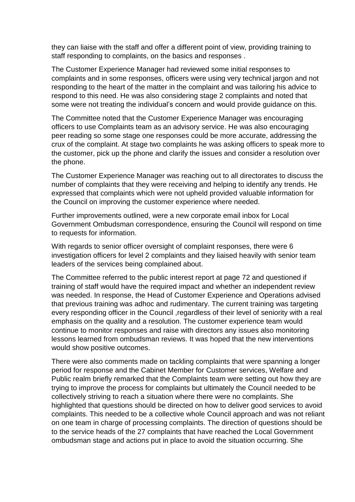they can liaise with the staff and offer a different point of view, providing training to staff responding to complaints, on the basics and responses .

The Customer Experience Manager had reviewed some initial responses to complaints and in some responses, officers were using very technical jargon and not responding to the heart of the matter in the complaint and was tailoring his advice to respond to this need. He was also considering stage 2 complaints and noted that some were not treating the individual's concern and would provide guidance on this.

The Committee noted that the Customer Experience Manager was encouraging officers to use Complaints team as an advisory service. He was also encouraging peer reading so some stage one responses could be more accurate, addressing the crux of the complaint. At stage two complaints he was asking officers to speak more to the customer, pick up the phone and clarify the issues and consider a resolution over the phone.

The Customer Experience Manager was reaching out to all directorates to discuss the number of complaints that they were receiving and helping to identify any trends. He expressed that complaints which were not upheld provided valuable information for the Council on improving the customer experience where needed.

Further improvements outlined, were a new corporate email inbox for Local Government Ombudsman correspondence, ensuring the Council will respond on time to requests for information.

With regards to senior officer oversight of complaint responses, there were 6 investigation officers for level 2 complaints and they liaised heavily with senior team leaders of the services being complained about.

The Committee referred to the public interest report at page 72 and questioned if training of staff would have the required impact and whether an independent review was needed. In response, the Head of Customer Experience and Operations advised that previous training was adhoc and rudimentary. The current training was targeting every responding officer in the Council ,regardless of their level of seniority with a real emphasis on the quality and a resolution. The customer experience team would continue to monitor responses and raise with directors any issues also monitoring lessons learned from ombudsman reviews. It was hoped that the new interventions would show positive outcomes.

There were also comments made on tackling complaints that were spanning a longer period for response and the Cabinet Member for Customer services, Welfare and Public realm briefly remarked that the Complaints team were setting out how they are trying to improve the process for complaints but ultimately the Council needed to be collectively striving to reach a situation where there were no complaints. She highlighted that questions should be directed on how to deliver good services to avoid complaints. This needed to be a collective whole Council approach and was not reliant on one team in charge of processing complaints. The direction of questions should be to the service heads of the 27 complaints that have reached the Local Government ombudsman stage and actions put in place to avoid the situation occurring. She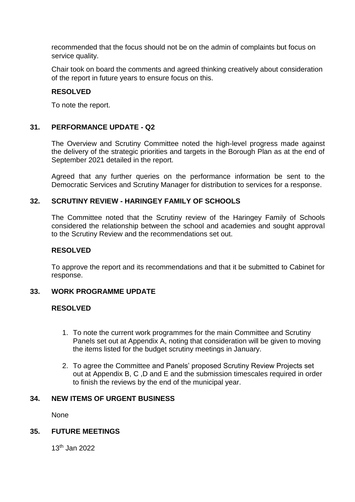recommended that the focus should not be on the admin of complaints but focus on service quality.

Chair took on board the comments and agreed thinking creatively about consideration of the report in future years to ensure focus on this.

### **RESOLVED**

To note the report.

## **31. PERFORMANCE UPDATE - Q2**

The Overview and Scrutiny Committee noted the high-level progress made against the delivery of the strategic priorities and targets in the Borough Plan as at the end of September 2021 detailed in the report.

Agreed that any further queries on the performance information be sent to the Democratic Services and Scrutiny Manager for distribution to services for a response.

### **32. SCRUTINY REVIEW - HARINGEY FAMILY OF SCHOOLS**

The Committee noted that the Scrutiny review of the Haringey Family of Schools considered the relationship between the school and academies and sought approval to the Scrutiny Review and the recommendations set out.

#### **RESOLVED**

To approve the report and its recommendations and that it be submitted to Cabinet for response.

#### **33. WORK PROGRAMME UPDATE**

#### **RESOLVED**

- 1. To note the current work programmes for the main Committee and Scrutiny Panels set out at Appendix A, noting that consideration will be given to moving the items listed for the budget scrutiny meetings in January.
- 2. To agree the Committee and Panels' proposed Scrutiny Review Projects set out at Appendix B, C ,D and E and the submission timescales required in order to finish the reviews by the end of the municipal year.

#### **34. NEW ITEMS OF URGENT BUSINESS**

None

#### **35. FUTURE MEETINGS**

13th Jan 2022